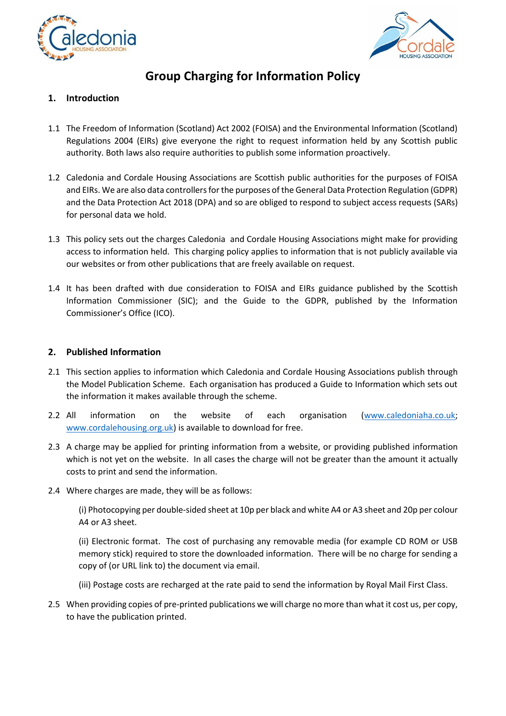



# **Group Charging for Information Policy**

## **1. Introduction**

- 1.1 The Freedom of Information (Scotland) Act 2002 (FOISA) and the Environmental Information (Scotland) Regulations 2004 (EIRs) give everyone the right to request information held by any Scottish public authority. Both laws also require authorities to publish some information proactively.
- 1.2 Caledonia and Cordale Housing Associations are Scottish public authorities for the purposes of FOISA and EIRs. We are also data controllers for the purposes of the General Data Protection Regulation (GDPR) and the Data Protection Act 2018 (DPA) and so are obliged to respond to subject access requests (SARs) for personal data we hold.
- 1.3 This policy sets out the charges Caledonia and Cordale Housing Associations might make for providing access to information held. This charging policy applies to information that is not publicly available via our websites or from other publications that are freely available on request.
- 1.4 It has been drafted with due consideration to FOISA and EIRs guidance published by the Scottish Information Commissioner (SIC); and the Guide to the GDPR, published by the Information Commissioner's Office (ICO).

#### **2. Published Information**

- 2.1 This section applies to information which Caledonia and Cordale Housing Associations publish through the Model Publication Scheme. Each organisation has produced a Guide to Information which sets out the information it makes available through the scheme.
- 2.2 All information on the website of each organisation [\(www.caledoniaha.co.uk;](http://www.caledoniaha.co.uk/) [www.cordalehousing.org.uk\)](http://www.cordalehousing.org.uk/) is available to download for free.
- 2.3 A charge may be applied for printing information from a website, or providing published information which is not yet on the website. In all cases the charge will not be greater than the amount it actually costs to print and send the information.
- 2.4 Where charges are made, they will be as follows:

(i) Photocopying per double-sided sheet at 10p per black and white A4 or A3 sheet and 20p per colour A4 or A3 sheet.

(ii) Electronic format. The cost of purchasing any removable media (for example CD ROM or USB memory stick) required to store the downloaded information. There will be no charge for sending a copy of (or URL link to) the document via email.

- (iii) Postage costs are recharged at the rate paid to send the information by Royal Mail First Class.
- 2.5 When providing copies of pre-printed publications we will charge no more than what it cost us, per copy, to have the publication printed.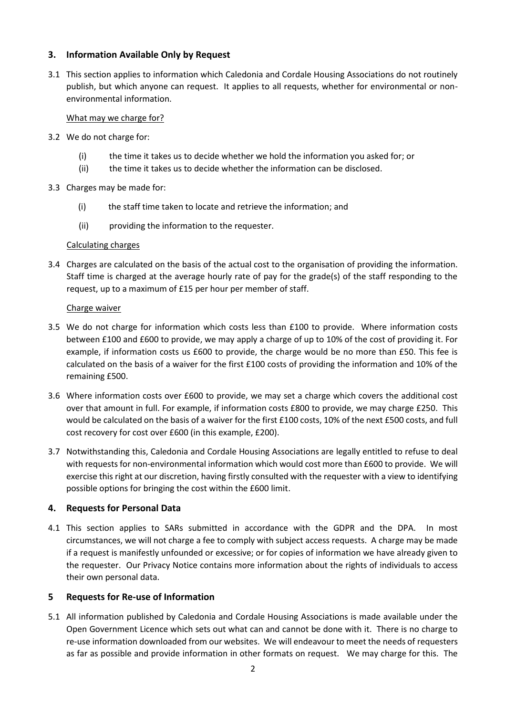## **3. Information Available Only by Request**

3.1 This section applies to information which Caledonia and Cordale Housing Associations do not routinely publish, but which anyone can request. It applies to all requests, whether for environmental or nonenvironmental information.

#### What may we charge for?

- 3.2 We do not charge for:
	- (i) the time it takes us to decide whether we hold the information you asked for; or
	- (ii) the time it takes us to decide whether the information can be disclosed.
- 3.3 Charges may be made for:
	- (i) the staff time taken to locate and retrieve the information; and
	- (ii) providing the information to the requester.

#### Calculating charges

3.4 Charges are calculated on the basis of the actual cost to the organisation of providing the information. Staff time is charged at the average hourly rate of pay for the grade(s) of the staff responding to the request, up to a maximum of £15 per hour per member of staff.

#### Charge waiver

- 3.5 We do not charge for information which costs less than £100 to provide. Where information costs between £100 and £600 to provide, we may apply a charge of up to 10% of the cost of providing it. For example, if information costs us £600 to provide, the charge would be no more than £50. This fee is calculated on the basis of a waiver for the first £100 costs of providing the information and 10% of the remaining £500.
- 3.6 Where information costs over £600 to provide, we may set a charge which covers the additional cost over that amount in full. For example, if information costs £800 to provide, we may charge £250. This would be calculated on the basis of a waiver for the first £100 costs, 10% of the next £500 costs, and full cost recovery for cost over £600 (in this example, £200).
- 3.7 Notwithstanding this, Caledonia and Cordale Housing Associations are legally entitled to refuse to deal with requests for non-environmental information which would cost more than £600 to provide. We will exercise this right at our discretion, having firstly consulted with the requester with a view to identifying possible options for bringing the cost within the £600 limit.

#### **4. Requests for Personal Data**

4.1 This section applies to SARs submitted in accordance with the GDPR and the DPA. In most circumstances, we will not charge a fee to comply with subject access requests. A charge may be made if a request is manifestly unfounded or excessive; or for copies of information we have already given to the requester. Our Privacy Notice contains more information about the rights of individuals to access their own personal data.

#### **5 Requests for Re-use of Information**

5.1 All information published by Caledonia and Cordale Housing Associations is made available under the Open Government Licence which sets out what can and cannot be done with it. There is no charge to re-use information downloaded from our websites. We will endeavour to meet the needs of requesters as far as possible and provide information in other formats on request. We may charge for this. The